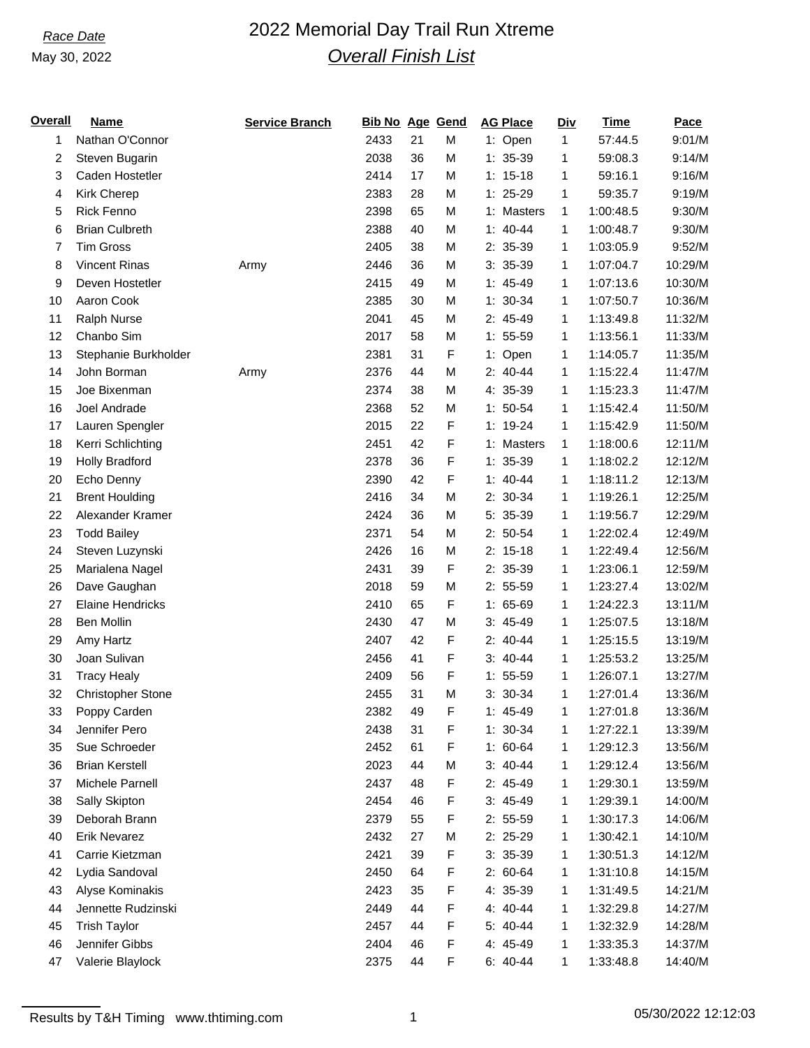### May 30, 2022

# *Race Date* 2022 Memorial Day Trail Run Xtreme *Overall Finish List*

| Overall | <b>Name</b>              | <b>Service Branch</b> | <b>Bib No Age Gend</b> |    |             | <b>AG Place</b> | <b>Div</b> | <b>Time</b> | Pace    |
|---------|--------------------------|-----------------------|------------------------|----|-------------|-----------------|------------|-------------|---------|
| 1       | Nathan O'Connor          |                       | 2433                   | 21 | M           | 1: Open         | 1          | 57:44.5     | 9:01/M  |
| 2       | Steven Bugarin           |                       | 2038                   | 36 | M           | $1: 35-39$      | 1          | 59:08.3     | 9:14/M  |
| 3       | Caden Hostetler          |                       | 2414                   | 17 | M           | $1: 15-18$      | 1          | 59:16.1     | 9:16/M  |
| 4       | Kirk Cherep              |                       | 2383                   | 28 | M           | $1: 25-29$      | 1          | 59:35.7     | 9:19/M  |
| 5       | <b>Rick Fenno</b>        |                       | 2398                   | 65 | M           | 1: Masters      | 1          | 1:00:48.5   | 9:30/M  |
| 6       | <b>Brian Culbreth</b>    |                       | 2388                   | 40 | M           | $1: 40-44$      | 1          | 1:00:48.7   | 9:30/M  |
| 7       | <b>Tim Gross</b>         |                       | 2405                   | 38 | M           | $2: 35-39$      | 1          | 1:03:05.9   | 9:52/M  |
| 8       | <b>Vincent Rinas</b>     | Army                  | 2446                   | 36 | M           | $3: 35-39$      | 1          | 1:07:04.7   | 10:29/M |
| 9       | Deven Hostetler          |                       | 2415                   | 49 | M           | $1: 45-49$      | 1          | 1:07:13.6   | 10:30/M |
| 10      | Aaron Cook               |                       | 2385                   | 30 | M           | $1: 30-34$      | 1          | 1:07:50.7   | 10:36/M |
| 11      | Ralph Nurse              |                       | 2041                   | 45 | M           | 2: 45-49        | 1          | 1:13:49.8   | 11:32/M |
| 12      | Chanbo Sim               |                       | 2017                   | 58 | M           | $1: 55-59$      | 1          | 1:13:56.1   | 11:33/M |
| 13      | Stephanie Burkholder     |                       | 2381                   | 31 | F           | 1: Open         | 1          | 1:14:05.7   | 11:35/M |
| 14      | John Borman              | Army                  | 2376                   | 44 | M           | $2: 40-44$      | 1          | 1:15:22.4   | 11:47/M |
| 15      | Joe Bixenman             |                       | 2374                   | 38 | M           | 4: 35-39        | 1          | 1:15:23.3   | 11:47/M |
| 16      | Joel Andrade             |                       | 2368                   | 52 | M           | $1: 50-54$      | 1          | 1:15:42.4   | 11:50/M |
| 17      | Lauren Spengler          |                       | 2015                   | 22 | F           | $1: 19-24$      | 1          | 1:15:42.9   | 11:50/M |
| 18      | Kerri Schlichting        |                       | 2451                   | 42 | F           | 1: Masters      | 1          | 1:18:00.6   | 12:11/M |
| 19      | <b>Holly Bradford</b>    |                       | 2378                   | 36 | F           | $1: 35-39$      | 1          | 1:18:02.2   | 12:12/M |
| 20      | Echo Denny               |                       | 2390                   | 42 | F           | $1: 40-44$      | 1          | 1:18:11.2   | 12:13/M |
| 21      | <b>Brent Houlding</b>    |                       | 2416                   | 34 | M           | 2: 30-34        | 1          | 1:19:26.1   | 12:25/M |
| 22      | Alexander Kramer         |                       | 2424                   | 36 | M           | 5: 35-39        | 1          | 1:19:56.7   | 12:29/M |
| 23      | <b>Todd Bailey</b>       |                       | 2371                   | 54 | M           | $2: 50-54$      | 1          | 1:22:02.4   | 12:49/M |
| 24      | Steven Luzynski          |                       | 2426                   | 16 | M           | $2: 15-18$      | 1          | 1:22:49.4   | 12:56/M |
| 25      | Marialena Nagel          |                       | 2431                   | 39 | F           | 2: 35-39        | 1          | 1:23:06.1   | 12:59/M |
| 26      | Dave Gaughan             |                       | 2018                   | 59 | M           | $2: 55-59$      | 1          | 1:23:27.4   | 13:02/M |
| 27      | <b>Elaine Hendricks</b>  |                       | 2410                   | 65 | F           | $1: 65-69$      | 1          | 1:24:22.3   | 13:11/M |
| 28      | <b>Ben Mollin</b>        |                       | 2430                   | 47 | M           | $3: 45-49$      | 1          | 1:25:07.5   | 13:18/M |
| 29      | Amy Hartz                |                       | 2407                   | 42 | F           | $2: 40-44$      | 1          | 1:25:15.5   | 13:19/M |
| 30      | Joan Sulivan             |                       | 2456                   | 41 | F           | $3: 40-44$      | 1          | 1:25:53.2   | 13:25/M |
| 31      | <b>Tracy Healy</b>       |                       | 2409                   | 56 | F           | $1: 55-59$      | 1          | 1:26:07.1   | 13:27/M |
| 32      | <b>Christopher Stone</b> |                       | 2455                   | 31 | M           | $3: 30-34$      | 1          | 1:27:01.4   | 13:36/M |
| 33      | Poppy Carden             |                       | 2382                   | 49 | F           | $1: 45-49$      | 1          | 1:27:01.8   | 13:36/M |
| 34      | Jennifer Pero            |                       | 2438                   | 31 | F           | $1: 30-34$      | 1          | 1:27:22.1   | 13:39/M |
| 35      | Sue Schroeder            |                       | 2452                   | 61 | F           | $1: 60-64$      | 1          | 1:29:12.3   | 13:56/M |
| 36      | <b>Brian Kerstell</b>    |                       | 2023                   | 44 | M           | $3: 40-44$      | 1          | 1:29:12.4   | 13:56/M |
| 37      | Michele Parnell          |                       | 2437                   | 48 | F           | $2: 45-49$      | 1          | 1:29:30.1   | 13:59/M |
| 38      | Sally Skipton            |                       | 2454                   | 46 | F           | $3: 45-49$      | 1          | 1:29:39.1   | 14:00/M |
| 39      | Deborah Brann            |                       | 2379                   | 55 | F           | $2: 55-59$      | 1          | 1:30:17.3   | 14:06/M |
| 40      | <b>Erik Nevarez</b>      |                       | 2432                   | 27 | M           | $2: 25-29$      | 1          | 1:30:42.1   | 14:10/M |
| 41      | Carrie Kietzman          |                       | 2421                   | 39 | F           | $3: 35-39$      | 1          | 1:30:51.3   | 14:12/M |
| 42      | Lydia Sandoval           |                       | 2450                   | 64 | F           | $2: 60-64$      | 1          | 1:31:10.8   | 14:15/M |
| 43      | Alyse Kominakis          |                       | 2423                   | 35 | F           | 4: 35-39        | 1          | 1:31:49.5   | 14:21/M |
| 44      | Jennette Rudzinski       |                       | 2449                   | 44 | F           | 4: 40-44        | 1          | 1:32:29.8   | 14:27/M |
| 45      | <b>Trish Taylor</b>      |                       | 2457                   | 44 | F           | 5: 40-44        | 1          | 1:32:32.9   | 14:28/M |
| 46      | Jennifer Gibbs           |                       | 2404                   | 46 | F           | 4: 45-49        | 1          | 1:33:35.3   | 14:37/M |
| 47      | Valerie Blaylock         |                       | 2375                   | 44 | $\mathsf F$ | $6: 40-44$      | 1          | 1:33:48.8   | 14:40/M |
|         |                          |                       |                        |    |             |                 |            |             |         |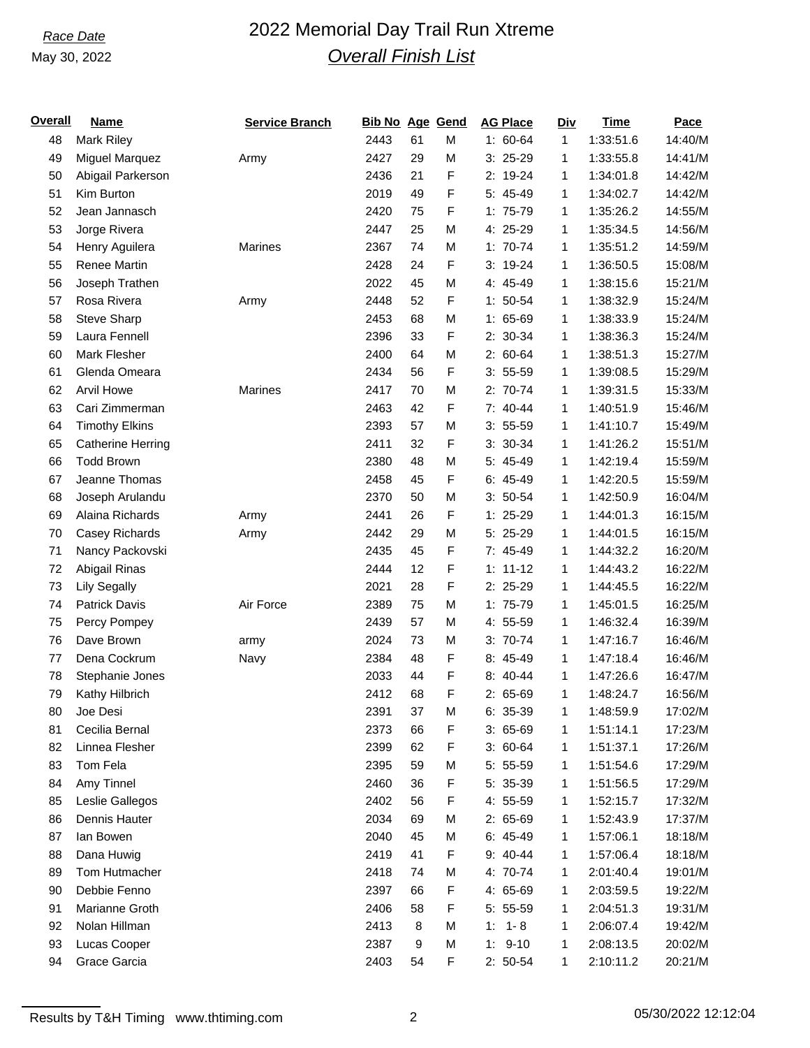### May 30, 2022

# *Race Date* 2022 Memorial Day Trail Run Xtreme *Overall Finish List*

| <u>Overall</u> | <b>Name</b>              | <b>Service Branch</b> | <b>Bib No Age Gend</b> |    |   | <b>AG Place</b> | <b>Div</b> | <b>Time</b> | Pace    |
|----------------|--------------------------|-----------------------|------------------------|----|---|-----------------|------------|-------------|---------|
| 48             | <b>Mark Riley</b>        |                       | 2443                   | 61 | M | $1: 60-64$      | 1          | 1:33:51.6   | 14:40/M |
| 49             | <b>Miguel Marquez</b>    | Army                  | 2427                   | 29 | M | $3: 25-29$      | 1          | 1:33:55.8   | 14:41/M |
| 50             | Abigail Parkerson        |                       | 2436                   | 21 | F | 2: 19-24        | 1          | 1:34:01.8   | 14:42/M |
| 51             | Kim Burton               |                       | 2019                   | 49 | F | 5: 45-49        | 1          | 1:34:02.7   | 14:42/M |
| 52             | Jean Jannasch            |                       | 2420                   | 75 | F | 1: 75-79        | 1          | 1:35:26.2   | 14:55/M |
| 53             | Jorge Rivera             |                       | 2447                   | 25 | M | 4: 25-29        | 1          | 1:35:34.5   | 14:56/M |
| 54             | Henry Aguilera           | <b>Marines</b>        | 2367                   | 74 | M | $1: 70-74$      | 1          | 1:35:51.2   | 14:59/M |
| 55             | <b>Renee Martin</b>      |                       | 2428                   | 24 | F | $3: 19-24$      | 1          | 1:36:50.5   | 15:08/M |
| 56             | Joseph Trathen           |                       | 2022                   | 45 | M | 4: 45-49        | 1          | 1:38:15.6   | 15:21/M |
| 57             | Rosa Rivera              | Army                  | 2448                   | 52 | F | $1: 50-54$      | 1          | 1:38:32.9   | 15:24/M |
| 58             | Steve Sharp              |                       | 2453                   | 68 | M | $1: 65-69$      | 1          | 1:38:33.9   | 15:24/M |
| 59             | Laura Fennell            |                       | 2396                   | 33 | F | 2: 30-34        | 1          | 1:38:36.3   | 15:24/M |
| 60             | Mark Flesher             |                       | 2400                   | 64 | M | 2: 60-64        | 1          | 1:38:51.3   | 15:27/M |
| 61             | Glenda Omeara            |                       | 2434                   | 56 | F | $3: 55-59$      | 1          | 1:39:08.5   | 15:29/M |
| 62             | <b>Arvil Howe</b>        | Marines               | 2417                   | 70 | M | $2: 70-74$      | 1          | 1:39:31.5   | 15:33/M |
| 63             | Cari Zimmerman           |                       | 2463                   | 42 | F | 7: 40-44        | 1          | 1:40:51.9   | 15:46/M |
| 64             | <b>Timothy Elkins</b>    |                       | 2393                   | 57 | M | $3: 55-59$      | 1          | 1:41:10.7   | 15:49/M |
| 65             | <b>Catherine Herring</b> |                       | 2411                   | 32 | F | $3: 30-34$      | 1          | 1:41:26.2   | 15:51/M |
| 66             | <b>Todd Brown</b>        |                       | 2380                   | 48 | M | 5: 45-49        | 1          | 1:42:19.4   | 15:59/M |
| 67             | Jeanne Thomas            |                       | 2458                   | 45 | F | $6: 45-49$      | 1          | 1:42:20.5   | 15:59/M |
| 68             | Joseph Arulandu          |                       | 2370                   | 50 | M | $3: 50-54$      | 1          | 1:42:50.9   | 16:04/M |
| 69             | Alaina Richards          | Army                  | 2441                   | 26 | F | $1: 25-29$      | 1          | 1:44:01.3   | 16:15/M |
| 70             | Casey Richards           | Army                  | 2442                   | 29 | M | 5: 25-29        | 1          | 1:44:01.5   | 16:15/M |
| 71             | Nancy Packovski          |                       | 2435                   | 45 | F | 7: 45-49        | 1          | 1:44:32.2   | 16:20/M |
| 72             | Abigail Rinas            |                       | 2444                   | 12 | F | $1: 11 - 12$    | 1          | 1:44:43.2   | 16:22/M |
| 73             | <b>Lily Segally</b>      |                       | 2021                   | 28 | F | $2: 25-29$      | 1          | 1:44:45.5   | 16:22/M |
| 74             | <b>Patrick Davis</b>     | Air Force             | 2389                   | 75 | M | 1: 75-79        | 1          | 1:45:01.5   | 16:25/M |
| 75             | Percy Pompey             |                       | 2439                   | 57 | M | 4: 55-59        | 1          | 1:46:32.4   | 16:39/M |
| 76             | Dave Brown               | army                  | 2024                   | 73 | M | $3: 70-74$      | 1          | 1:47:16.7   | 16:46/M |
| 77             | Dena Cockrum             | Navy                  | 2384                   | 48 | F | 8: 45-49        | 1          | 1:47:18.4   | 16:46/M |
| 78             | Stephanie Jones          |                       | 2033                   | 44 | F | 8: 40-44        | 1          | 1:47:26.6   | 16:47/M |
| 79             | Kathy Hilbrich           |                       | 2412                   | 68 | F | $2: 65-69$      | 1          | 1:48:24.7   | 16:56/M |
| 80             | Joe Desi                 |                       | 2391                   | 37 | M | 6: 35-39        | 1          | 1:48:59.9   | 17:02/M |
| 81             | Cecilia Bernal           |                       | 2373                   | 66 | F | $3:65-69$       | 1          | 1:51:14.1   | 17:23/M |
| 82             | Linnea Flesher           |                       | 2399                   | 62 | F | $3:60-64$       | 1          | 1:51:37.1   | 17:26/M |
| 83             | Tom Fela                 |                       | 2395                   | 59 | M | $5: 55-59$      | 1          | 1:51:54.6   | 17:29/M |
| 84             | Amy Tinnel               |                       | 2460                   | 36 | F | 5: 35-39        | 1          | 1:51:56.5   | 17:29/M |
| 85             | Leslie Gallegos          |                       | 2402                   | 56 | F | 4: 55-59        | 1          | 1:52:15.7   | 17:32/M |
| 86             | Dennis Hauter            |                       | 2034                   | 69 | M | $2: 65-69$      | 1          | 1:52:43.9   | 17:37/M |
| 87             | lan Bowen                |                       | 2040                   | 45 | M | $6: 45-49$      | 1          | 1:57:06.1   | 18:18/M |
| 88             | Dana Huwig               |                       | 2419                   | 41 | F | $9: 40 - 44$    | 1          | 1:57:06.4   | 18:18/M |
| 89             | Tom Hutmacher            |                       | 2418                   | 74 | M | 4: 70-74        | 1          | 2:01:40.4   | 19:01/M |
| 90             | Debbie Fenno             |                       | 2397                   | 66 | F | 4: 65-69        | 1          | 2:03:59.5   | 19:22/M |
| 91             | Marianne Groth           |                       | 2406                   | 58 | F | $5: 55-59$      | 1          | 2:04:51.3   | 19:31/M |
| 92             | Nolan Hillman            |                       | 2413                   | 8  | M | $1 - 8$<br>1:   | 1          | 2:06:07.4   | 19:42/M |
| 93             | Lucas Cooper             |                       | 2387                   | 9  | M | $1: 9-10$       | 1          | 2:08:13.5   | 20:02/M |
| 94             | Grace Garcia             |                       | 2403                   | 54 | F | $2: 50-54$      | 1          | 2:10:11.2   | 20:21/M |
|                |                          |                       |                        |    |   |                 |            |             |         |